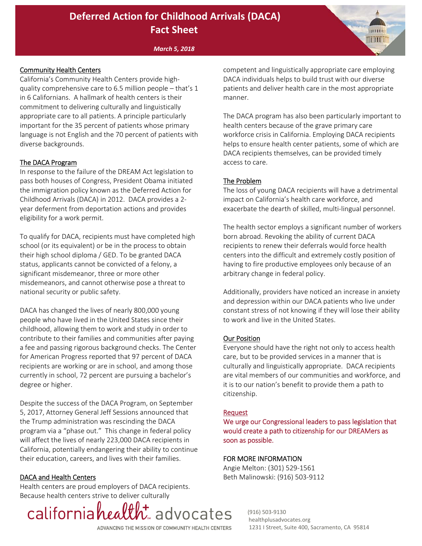# **Deferred Action for Childhood Arrivals (DACA) Fact Sheet**

#### *March 5, 2018*

## Community Health Centers

California's Community Health Centers provide high‐ quality comprehensive care to 6.5 million people – that's 1 in 6 Californians. A hallmark of health centers is their commitment to delivering culturally and linguistically appropriate care to all patients. A principle particularly important for the 35 percent of patients whose primary language is not English and the 70 percent of patients with diverse backgrounds.

#### The DACA Program

In response to the failure of the DREAM Act legislation to pass both houses of Congress, President Obama initiated the immigration policy known as the Deferred Action for Childhood Arrivals (DACA) in 2012. DACA provides a 2‐ year deferment from deportation actions and provides eligibility for a work permit.

To qualify for DACA, recipients must have completed high school (or its equivalent) or be in the process to obtain their high school diploma / GED. To be granted DACA status, applicants cannot be convicted of a felony, a significant misdemeanor, three or more other misdemeanors, and cannot otherwise pose a threat to national security or public safety.

DACA has changed the lives of nearly 800,000 young people who have lived in the United States since their childhood, allowing them to work and study in order to contribute to their families and communities after paying a fee and passing rigorous background checks. The Center for American Progress reported that 97 percent of DACA recipients are working or are in school, and among those currently in school, 72 percent are pursuing a bachelor's degree or higher.

Despite the success of the DACA Program, on September 5, 2017, Attorney General Jeff Sessions announced that the Trump administration was rescinding the DACA program via a "phase out." This change in federal policy will affect the lives of nearly 223,000 DACA recipients in California, potentially endangering their ability to continue their education, careers, and lives with their families.

#### DACA and Health Centers

Health centers are proud employers of DACA recipients. Because health centers strive to deliver culturally



competent and linguistically appropriate care employing DACA individuals helps to build trust with our diverse patients and deliver health care in the most appropriate manner.

**BETT UF** 

The DACA program has also been particularly important to health centers because of the grave primary care workforce crisis in California. Employing DACA recipients helps to ensure health center patients, some of which are DACA recipients themselves, can be provided timely access to care.

#### The Problem

The loss of young DACA recipients will have a detrimental impact on California's health care workforce, and exacerbate the dearth of skilled, multi‐lingual personnel.

The health sector employs a significant number of workers born abroad. Revoking the ability of current DACA recipients to renew their deferrals would force health centers into the difficult and extremely costly position of having to fire productive employees only because of an arbitrary change in federal policy.

Additionally, providers have noticed an increase in anxiety and depression within our DACA patients who live under constant stress of not knowing if they will lose their ability to work and live in the United States.

#### Our Position

Everyone should have the right not only to access health care, but to be provided services in a manner that is culturally and linguistically appropriate. DACA recipients are vital members of our communities and workforce, and it is to our nation's benefit to provide them a path to citizenship.

#### Request

We urge our Congressional leaders to pass legislation that would create a path to citizenship for our DREAMers as soon as possible.

#### FOR MORE INFORMATION

Angie Melton: (301) 529‐1561 Beth Malinowski: (916) 503‐9112

> (916) 503‐9130 healthplusadvocates.org 1231 I Street, Suite 400, Sacramento, CA 95814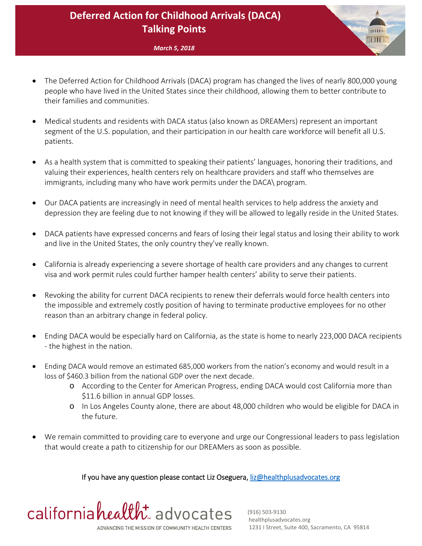# **Deferred Action for Childhood Arrivals (DACA) Talking Points**

*March 5, 2018*

- The Deferred Action for Childhood Arrivals (DACA) program has changed the lives of nearly 800,000 young people who have lived in the United States since their childhood, allowing them to better contribute to their families and communities.
- Medical students and residents with DACA status (also known as DREAMers) represent an important segment of the U.S. population, and their participation in our health care workforce will benefit all U.S. patients.
- As a health system that is committed to speaking their patients' languages, honoring their traditions, and valuing their experiences, health centers rely on healthcare providers and staff who themselves are immigrants, including many who have work permits under the DACA\ program.
- Our DACA patients are increasingly in need of mental health services to help address the anxiety and depression they are feeling due to not knowing if they will be allowed to legally reside in the United States.
- DACA patients have expressed concerns and fears of losing their legal status and losing their ability to work and live in the United States, the only country they've really known.
- California is already experiencing a severe shortage of health care providers and any changes to current visa and work permit rules could further hamper health centers' ability to serve their patients.
- Revoking the ability for current DACA recipients to renew their deferrals would force health centers into the impossible and extremely costly position of having to terminate productive employees for no other reason than an arbitrary change in federal policy.
- Ending DACA would be especially hard on California, as the state is home to nearly 223,000 DACA recipients ‐ the highest in the nation.
- Ending DACA would remove an estimated 685,000 workers from the nation's economy and would result in a loss of \$460.3 billion from the national GDP over the next decade.
	- o According to the Center for American Progress, ending DACA would cost California more than \$11.6 billion in annual GDP losses.
	- o In Los Angeles County alone, there are about 48,000 children who would be eligible for DACA in the future.
- We remain committed to providing care to everyone and urge our Congressional leaders to pass legislation that would create a path to citizenship for our DREAMers as soon as possible.

If you have any question please contact Liz Oseguera, liz@healthplusadvocates.org



ни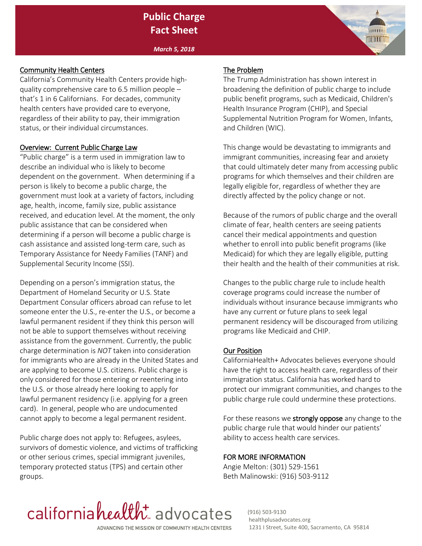# **Public Charge Fact Sheet**

*March 5, 2018*

## Community Health Centers

California's Community Health Centers provide highquality comprehensive care to 6.5 million people – that's 1 in 6 Californians. For decades, community health centers have provided care to everyone, regardless of their ability to pay, their immigration status, or their individual circumstances.

## Overview: Current Public Charge Law

"Public charge" is a term used in immigration law to describe an individual who is likely to become dependent on the government. When determining if a person is likely to become a public charge, the government must look at a variety of factors, including age, health, income, family size, public assistance received, and education level. At the moment, the only public assistance that can be considered when determining if a person will become a public charge is cash assistance and assisted long-term care, such as Temporary Assistance for Needy Families (TANF) and Supplemental Security Income (SSI).

Depending on a person's immigration status, the Department of Homeland Security or U.S. State Department Consular officers abroad can refuse to let someone enter the U.S., re-enter the U.S., or become a lawful permanent resident if they think this person will not be able to support themselves without receiving assistance from the government. Currently, the public charge determination is *NOT* taken into consideration for immigrants who are already in the United States and are applying to become U.S. citizens. Public charge is only considered for those entering or reentering into the U.S. or those already here looking to apply for lawful permanent residency (i.e. applying for a green card). In general, people who are undocumented cannot apply to become a legal permanent resident.

Public charge does not apply to: Refugees, asylees, survivors of domestic violence, and victims of trafficking or other serious crimes, special immigrant juveniles, temporary protected status (TPS) and certain other groups.

## The Problem

The Trump Administration has shown interest in broadening the definition of public charge to include public benefit programs, such as Medicaid, Children's Health Insurance Program (CHIP), and Special Supplemental Nutrition Program for Women, Infants, and Children (WIC).

nm

This change would be devastating to immigrants and immigrant communities, increasing fear and anxiety that could ultimately deter many from accessing public programs for which themselves and their children are legally eligible for, regardless of whether they are directly affected by the policy change or not.

Because of the rumors of public charge and the overall climate of fear, health centers are seeing patients cancel their medical appointments and question whether to enroll into public benefit programs (like Medicaid) for which they are legally eligible, putting their health and the health of their communities at risk.

Changes to the public charge rule to include health coverage programs could increase the number of individuals without insurance because immigrants who have any current or future plans to seek legal permanent residency will be discouraged from utilizing programs like Medicaid and CHIP.

# Our Position

CaliforniaHealth+ Advocates believes everyone should have the right to access health care, regardless of their immigration status. California has worked hard to protect our immigrant communities, and changes to the public charge rule could undermine these protections.

For these reasons we strongly oppose any change to the public charge rule that would hinder our patients' ability to access health care services.

# FOR MORE INFORMATION

Angie Melton: (301) 529-1561 Beth Malinowski: (916) 503-9112



 (916) 503-9130 healthplusadvocates.org 1231 I Street, Suite 400, Sacramento, CA 95814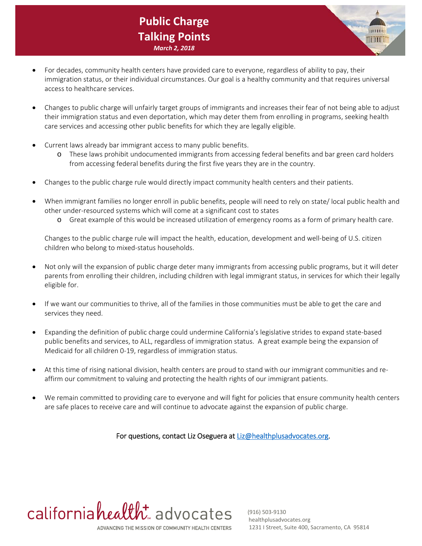# **Public Charge Talking Points** *March 2, 2018*

- For decades, community health centers have provided care to everyone, regardless of ability to pay, their immigration status, or their individual circumstances. Our goal is a healthy community and that requires universal access to healthcare services.
- Changes to public charge will unfairly target groups of immigrants and increases their fear of not being able to adjust their immigration status and even deportation, which may deter them from enrolling in programs, seeking health care services and accessing other public benefits for which they are legally eligible.
- Current laws already bar immigrant access to many public benefits.
	- o These laws prohibit undocumented immigrants from accessing federal benefits and bar green card holders from accessing federal benefits during the first five years they are in the country.
- Changes to the public charge rule would directly impact community health centers and their patients.
- When immigrant families no longer enroll in public benefits, people will need to rely on state/ local public health and other under‐resourced systems which will come at a significant cost to states
	- o Great example of this would be increased utilization of emergency rooms as a form of primary health care.

Changes to the public charge rule will impact the health, education, development and well‐being of U.S. citizen children who belong to mixed‐status households.

- Not only will the expansion of public charge deter many immigrants from accessing public programs, but it will deter parents from enrolling their children, including children with legal immigrant status, in services for which their legally eligible for.
- If we want our communities to thrive, all of the families in those communities must be able to get the care and services they need.
- Expanding the definition of public charge could undermine California's legislative strides to expand state‐based public benefits and services, to ALL, regardless of immigration status. A great example being the expansion of Medicaid for all children 0‐19, regardless of immigration status.
- At this time of rising national division, health centers are proud to stand with our immigrant communities and reaffirm our commitment to valuing and protecting the health rights of our immigrant patients.
- We remain committed to providing care to everyone and will fight for policies that ensure community health centers are safe places to receive care and will continue to advocate against the expansion of public charge.

For questions, contact Liz Oseguera at Liz@healthplusadvocates.org.

californiahealth advocates ADVANCING THE MISSION OF COMMUNITY HEALTH CENTERS

 (916) 503‐9130 healthplusadvocates.org 1231 I Street, Suite 400, Sacramento, CA 95814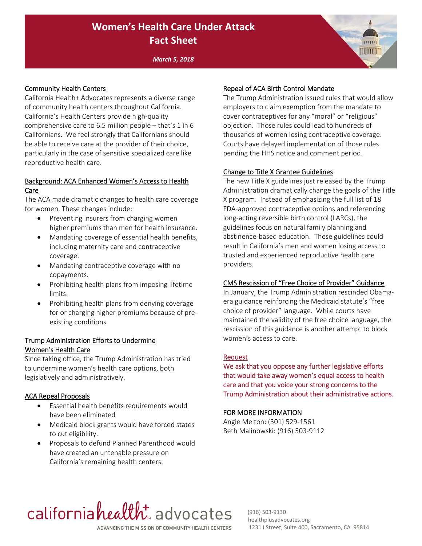# **Women's Health Care Under Attack Fact Sheet**

*March 5, 2018*

#### Community Health Centers

California Health+ Advocates represents a diverse range of community health centers throughout California. California's Health Centers provide high‐quality comprehensive care to 6.5 million people – that's 1 in 6 Californians. We feel strongly that Californians should be able to receive care at the provider of their choice, particularly in the case of sensitive specialized care like reproductive health care.

## Background: ACA Enhanced Women's Access to Health Care

The ACA made dramatic changes to health care coverage for women. These changes include:

- Preventing insurers from charging women higher premiums than men for health insurance.
- Mandating coverage of essential health benefits, including maternity care and contraceptive coverage.
- Mandating contraceptive coverage with no copayments.
- Prohibiting health plans from imposing lifetime limits.
- Prohibiting health plans from denying coverage for or charging higher premiums because of pre‐ existing conditions.

## Trump Administration Efforts to Undermine Women's Health Care

Since taking office, the Trump Administration has tried to undermine women's health care options, both legislatively and administratively.

#### ACA Repeal Proposals

- Essential health benefits requirements would have been eliminated
- Medicaid block grants would have forced states to cut eligibility.
- Proposals to defund Planned Parenthood would have created an untenable pressure on California's remaining health centers.

## Repeal of ACA Birth Control Mandate

The Trump Administration issued rules that would allow employers to claim exemption from the mandate to cover contraceptives for any "moral" or "religious" objection. Those rules could lead to hundreds of thousands of women losing contraceptive coverage. Courts have delayed implementation of those rules pending the HHS notice and comment period.

**INTO THE** 

#### Change to Title X Grantee Guidelines

The new Title X guidelines just released by the Trump Administration dramatically change the goals of the Title X program. Instead of emphasizing the full list of 18 FDA‐approved contraceptive options and referencing long‐acting reversible birth control (LARCs), the guidelines focus on natural family planning and abstinence‐based education. These guidelines could result in California's men and women losing access to trusted and experienced reproductive health care providers.

#### CMS Rescission of "Free Choice of Provider" Guidance

In January, the Trump Administration rescinded Obama‐ era guidance reinforcing the Medicaid statute's "free choice of provider" language. While courts have maintained the validity of the free choice language, the rescission of this guidance is another attempt to block women's access to care.

#### Request

We ask that you oppose any further legislative efforts that would take away women's equal access to health care and that you voice your strong concerns to the Trump Administration about their administrative actions.

#### FOR MORE INFORMATION

Angie Melton: (301) 529‐1561 Beth Malinowski: (916) 503‐9112

# californiahealth advocates ADVANCING THE MISSION OF COMMUNITY HEALTH CENTERS

 (916) 503‐9130 healthplusadvocates.org 1231 I Street, Suite 400, Sacramento, CA 95814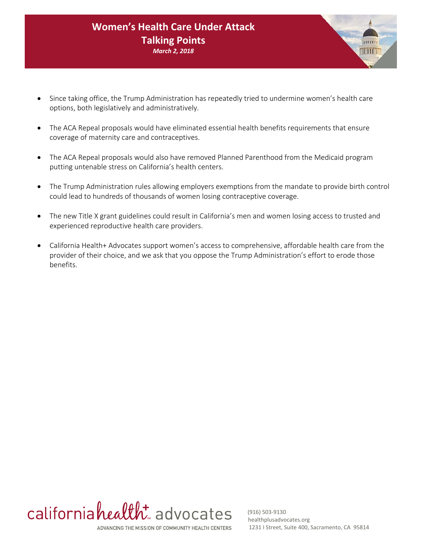# **Women's Health Care Under Attack Talking Points** *March 2, 2018*

- Since taking office, the Trump Administration has repeatedly tried to undermine women's health care options, both legislatively and administratively.
- The ACA Repeal proposals would have eliminated essential health benefits requirements that ensure coverage of maternity care and contraceptives.
- The ACA Repeal proposals would also have removed Planned Parenthood from the Medicaid program putting untenable stress on California's health centers.
- The Trump Administration rules allowing employers exemptions from the mandate to provide birth control could lead to hundreds of thousands of women losing contraceptive coverage.
- The new Title X grant guidelines could result in California's men and women losing access to trusted and experienced reproductive health care providers.
- California Health+ Advocates support women's access to comprehensive, affordable health care from the provider of their choice, and we ask that you oppose the Trump Administration's effort to erode those benefits.



 (916) 503‐9130 healthplusadvocates.org 1231 I Street, Suite 400, Sacramento, CA 95814

minthi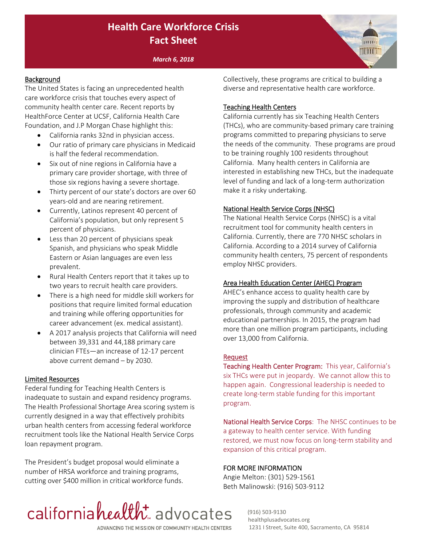# **Health Care Workforce Crisis Fact Sheet**

*March 6, 2018*

## **Background**

The United States is facing an unprecedented health care workforce crisis that touches every aspect of community health center care. Recent reports by HealthForce Center at UCSF, California Health Care Foundation, and J.P Morgan Chase highlight this:

- California ranks 32nd in physician access.
- Our ratio of primary care physicians in Medicaid is half the federal recommendation.
- Six out of nine regions in California have a primary care provider shortage, with three of those six regions having a severe shortage.
- Thirty percent of our state's doctors are over 60 years‐old and are nearing retirement.
- Currently, Latinos represent 40 percent of California's population, but only represent 5 percent of physicians.
- Less than 20 percent of physicians speak Spanish, and physicians who speak Middle Eastern or Asian languages are even less prevalent.
- Rural Health Centers report that it takes up to two years to recruit health care providers.
- There is a high need for middle skill workers for positions that require limited formal education and training while offering opportunities for career advancement (ex. medical assistant).
- A 2017 analysis projects that California will need between 39,331 and 44,188 primary care clinician FTEs—an increase of 12‐17 percent above current demand – by 2030.

#### Limited Resources

Federal funding for Teaching Health Centers is inadequate to sustain and expand residency programs. The Health Professional Shortage Area scoring system is currently designed in a way that effectively prohibits urban health centers from accessing federal workforce recruitment tools like the National Health Service Corps loan repayment program.

The President's budget proposal would eliminate a number of HRSA workforce and training programs, cutting over \$400 million in critical workforce funds. Collectively, these programs are critical to building a diverse and representative health care workforce.

**ANDITAIR** 

#### Teaching Health Centers

California currently has six Teaching Health Centers (THCs), who are community‐based primary care training programs committed to preparing physicians to serve the needs of the community. These programs are proud to be training roughly 100 residents throughout California. Many health centers in California are interested in establishing new THCs, but the inadequate level of funding and lack of a long‐term authorization make it a risky undertaking.

#### National Health Service Corps (NHSC)

The National Health Service Corps (NHSC) is a vital recruitment tool for community health centers in California. Currently, there are 770 NHSC scholars in California. According to a 2014 survey of California community health centers, 75 percent of respondents employ NHSC providers.

#### Area Health Education Center (AHEC) Program

AHEC's enhance access to quality health care by improving the supply and distribution of healthcare professionals, through community and academic educational partnerships. In 2015, the program had more than one million program participants, including over 13,000 from California.

#### Request

Teaching Health Center Program: This year, California's six THCs were put in jeopardy. We cannot allow this to happen again. Congressional leadership is needed to create long‐term stable funding for this important program.

National Health Service Corps: The NHSC continues to be a gateway to health center service. With funding restored, we must now focus on long‐term stability and expansion of this critical program.

#### FOR MORE INFORMATION

Angie Melton: (301) 529‐1561 Beth Malinowski: (916) 503‐9112



 (916) 503‐9130 healthplusadvocates.org 1231 I Street, Suite 400, Sacramento, CA 95814